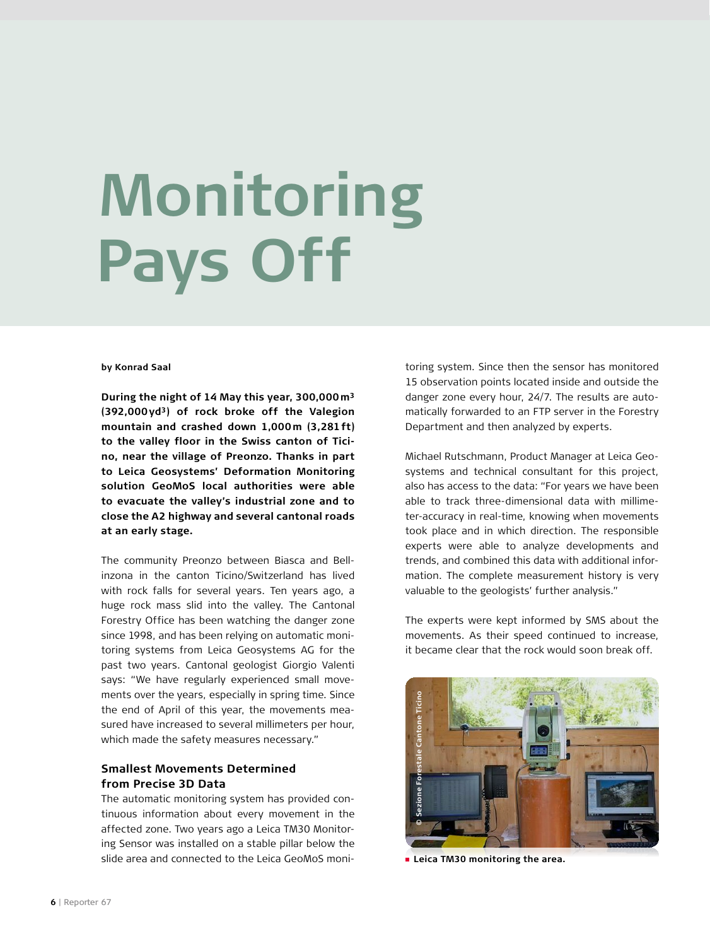# **Monitoring Pays Off**

### **by Konrad Saal**

**During the night of 14 May this year, 300,000m3 (392,000yd3) of rock broke off the Valegion mountain and crashed down 1,000m (3,281ft) to the valley floor in the Swiss canton of Ticino, near the village of Preonzo. Thanks in part to Leica Geosystems' Deformation Monitoring solution GeoMoS local authorities were able to evacuate the valley's industrial zone and to close the A2 highway and several cantonal roads at an early stage.** 

The community Preonzo between Biasca and Bellinzona in the canton Ticino/Switzerland has lived with rock falls for several years. Ten years ago, a huge rock mass slid into the valley. The Cantonal Forestry Office has been watching the danger zone since 1998, and has been relying on automatic monitoring systems from Leica Geosystems AG for the past two years. Cantonal geologist Giorgio Valenti says: "We have regularly experienced small movements over the years, especially in spring time. Since the end of April of this year, the movements measured have increased to several millimeters per hour, which made the safety measures necessary."

# **Smallest Movements Determined from Precise 3D Data**

The automatic monitoring system has provided continuous information about every movement in the affected zone. Two years ago a Leica TM30 Monitoring Sensor was installed on a stable pillar below the slide area and connected to the Leica GeoMoS moni-

toring system. Since then the sensor has monitored 15 observation points located inside and outside the danger zone every hour, 24/7. The results are automatically forwarded to an FTP server in the Forestry Department and then analyzed by experts.

Michael Rutschmann, Product Manager at Leica Geosystems and technical consultant for this project, also has access to the data: "For years we have been able to track three-dimensional data with millimeter-accuracy in real-time, knowing when movements took place and in which direction. The responsible experts were able to analyze developments and trends, and combined this data with additional information. The complete measurement history is very valuable to the geologists' further analysis."

The experts were kept informed by SMS about the movements. As their speed continued to increase, it became clear that the rock would soon break off.